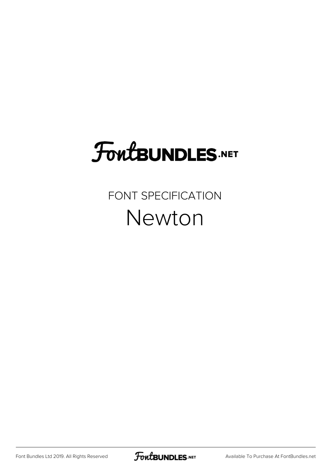# FoutBUNDLES.NET

#### FONT SPECIFICATION Newton

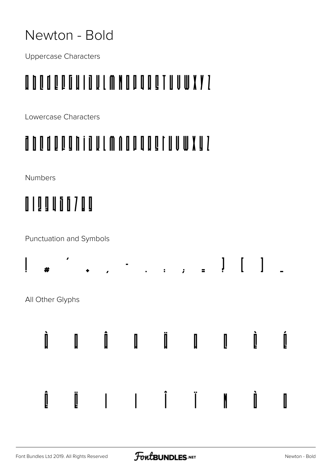#### Newton - Bold

**Uppercase Characters** 

## <u>O D O O O O O U I O U I M N O O O O O I U U W X Y I</u>

Lowercase Characters

### <u>O D O O O O O U I O U I O O O O O O O O U U U V U I I</u>

Î

 $\overline{a}$ 

Numbers

## 

**Punctuation and Symbols** 

 $\overline{\mathbf{I}}$ 

Ï

All Other Glyphs

Ì

Î

 $\begin{bmatrix} 1 & 1 \\ 1 & 1 \end{bmatrix}$ 

 $\ddot{\parallel}$ 

 $\mathbb{I}$ 

 $\left\vert \tilde{\Gamma}\right\vert$ 

 $\mathbf{I}$ 

 $\mathbf{I}$ 

 $\mathbb{I}$ 

Ì

Ì

ĺ

 $\overline{\mathbb{I}}$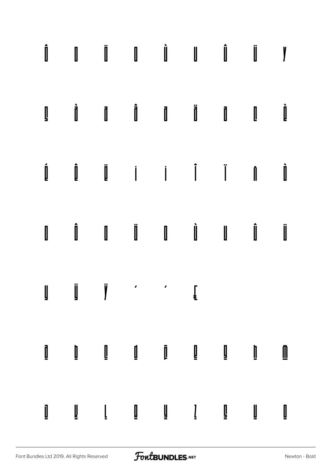| $\hat{\mathbf{l}}$ |  |  |  |              |
|--------------------|--|--|--|--------------|
|                    |  |  |  |              |
|                    |  |  |  |              |
| $\pmb{\mathbb{I}}$ |  |  |  |              |
|                    |  |  |  |              |
|                    |  |  |  | $\mathbf{r}$ |
|                    |  |  |  |              |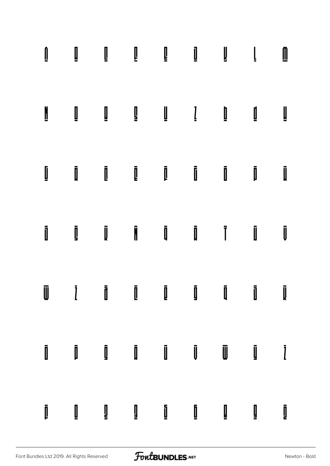| ≬                       | $\mathbf{I}$       | $\mathbf{I}$                                   |  | $\begin{array}{ccccccccccccccccc} \bar{\mathbf{l}} & & \mathbf{l} & & \mathbf{l} & & \mathbf{l} & & \mathbf{l} & & \mathbf{l} & & \mathbf{l} & & \mathbf{l} & & \mathbf{l} & & \mathbf{l} & & \mathbf{l} & & \mathbf{l} & & \mathbf{l} & & \mathbf{l} & & \mathbf{l} & & \mathbf{l} & & \mathbf{l} & & \mathbf{l} & & \mathbf{l} & & \mathbf{l} & & \mathbf{l} & & \mathbf{l} & & \mathbf{l} & & \mathbf{l} & & \mathbf{l} & & \mathbf{l} & & \mathbf{l} & & \mathbf{l} & & \mathbf{l} & & \mathbf{l$                                                                                                                   |    | $\mathbf{I}$                                  |
|-------------------------|--------------------|------------------------------------------------|--|-------------------------------------------------------------------------------------------------------------------------------------------------------------------------------------------------------------------------------------------------------------------------------------------------------------------------------------------------------------------------------------------------------------------------------------------------------------------------------------------------------------------------------------------------------------------------------------------------------------------------|----|-----------------------------------------------|
| $\overline{\mathsf{I}}$ | $\mathbf{0}$       | $\mathbf{I}$                                   |  | $\begin{array}{ccccccccccccccccc} \textbf{\underline{I}} & & \textbf{\underline{I}} & & \textbf{\underline{I}} & & \textbf{\underline{I}} & & \textbf{\underline{I}} & & \textbf{\underline{I}} & & \textbf{\underline{I}} & & \textbf{\underline{I}} & & \textbf{\underline{I}} & & \textbf{\underline{I}} & & \textbf{\underline{I}} & & \textbf{\underline{I}} & & \textbf{\underline{I}} & & \textbf{\underline{I}} & & \textbf{\underline{I}} & & \textbf{\underline{I}} & & \textbf{\underline{I}} & & \textbf{\underline{I}} & & \textbf{\underline{I}} & & \textbf{\underline{I}} & & \textbf{\underline{I}} &$ | Ū. | $\mathbf{\underline{\underline{\mathsf{I}}}}$ |
| ∐                       | $\bar{\mathbf{I}}$ | $\bar{\mathbf{I}}$                             |  | $\begin{bmatrix} \mathbf{I} & \mathbf{I} & \mathbf{I} & \mathbf{I} \end{bmatrix}$                                                                                                                                                                                                                                                                                                                                                                                                                                                                                                                                       | Ī  | Ī                                             |
| Ī                       | Ţ                  | $\bar{\mathbf{l}}$                             |  | $\begin{array}{ccc} \bar{\textbf{N}} & \bar{\textbf{I}} & \bar{\textbf{I}} & \bar{\textbf{I}} & \bar{\textbf{I}} & \bar{\textbf{I}} & \bar{\textbf{I}} & \bar{\textbf{I}} & \bar{\textbf{I}} & \bar{\textbf{I}} & \bar{\textbf{I}} & \bar{\textbf{I}} & \bar{\textbf{I}} & \bar{\textbf{I}} & \bar{\textbf{I}} & \bar{\textbf{I}} & \bar{\textbf{I}} & \bar{\textbf{I}} & \bar{\textbf{I}} & \bar{\textbf{I}} & \bar{\textbf{I}} & \bar{\textbf{I}} & \bar{\textbf{I}} & \bar{\textbf{$                                                                                                                                 | Ī  | Ū                                             |
| Ū                       |                    |                                                |  |                                                                                                                                                                                                                                                                                                                                                                                                                                                                                                                                                                                                                         |    | $\bar{\pmb{\mathsf{I}}}$                      |
|                         |                    |                                                |  |                                                                                                                                                                                                                                                                                                                                                                                                                                                                                                                                                                                                                         |    |                                               |
| Ī                       |                    | $\begin{bmatrix} 1 & 1 \\ 1 & 1 \end{bmatrix}$ |  |                                                                                                                                                                                                                                                                                                                                                                                                                                                                                                                                                                                                                         |    | Ī                                             |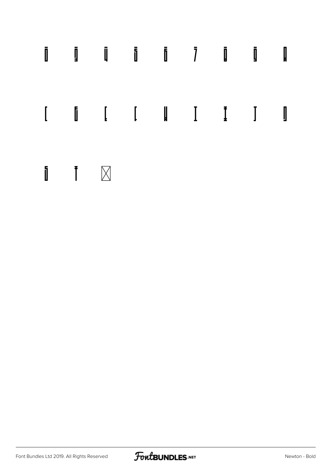# $\mathbf{i}$   $\mathbf{j}$   $\boxtimes$

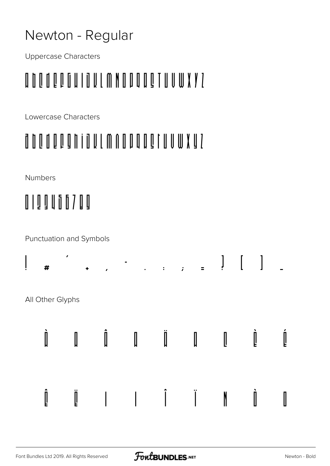#### Newton - Regular

**Uppercase Characters** 

## <u>O D O O O O O U I O U I M N O O O O O I U U W X Y Z</u>

Lowercase Characters

### <u>O D O O O O O U I J U L M O O O O O O I L I U W X U Z</u>

Î

 $\mathbf{I}$ 

Numbers

## $[] \begin{array}{ccc} \textbf{0} & \textbf{0} & \textbf{0} & \textbf{0} & \textbf{0} & \textbf{0} & \textbf{0} \\ \textbf{0} & \textbf{0} & \textbf{0} & \textbf{0} & \textbf{0} & \textbf{0} & \textbf{0} & \textbf{0} & \textbf{0} & \textbf{0} \end{array}$

#### **Punctuation and Symbols**

 $\mathbb I$ 

Ï

All Other Glyphs

Ì

Ĵ

 $\parallel$ 

 $\mathbb{I}$ 

 $\begin{array}{c} \hline \end{array}$ 

 $\mathbf{N}$ 

 $\mathbb{L}$ 

ĺ

 $\mathbb I$ 

Ì

Ì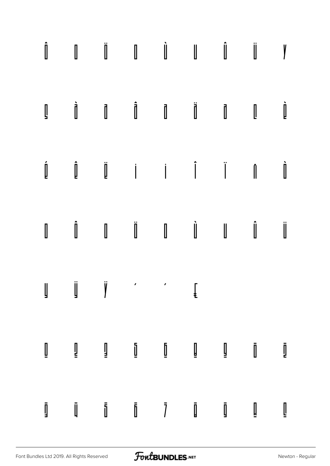| $\begin{array}{ccccccccccccccccc} \hat{\textbf{I}} & \textbf{I} & \textbf{I} & \textbf{I} & \textbf{I} & \textbf{I} & \textbf{I} & \textbf{I} & \textbf{I} & \textbf{I} & \textbf{I} & \textbf{I} & \textbf{I} & \textbf{I} & \textbf{I} & \textbf{I} & \textbf{I} & \textbf{I} & \textbf{I} & \textbf{I} & \textbf{I} & \textbf{I} & \textbf{I} & \textbf{I} & \textbf{I} & \textbf{I} & \textbf{I} & \textbf{I} & \textbf{I} & \textbf{$    |  |  |  |  |
|-----------------------------------------------------------------------------------------------------------------------------------------------------------------------------------------------------------------------------------------------------------------------------------------------------------------------------------------------------------------------------------------------------------------------------------------------|--|--|--|--|
|                                                                                                                                                                                                                                                                                                                                                                                                                                               |  |  |  |  |
| $\begin{array}{ccccccccccccccccc} \hat{\mathbb{I}} & \hat{\mathbb{I}} & \hat{\mathbb{I}} & \mathbb{I} & \mathbb{I} & \mathbb{I} & \mathbb{I} & \mathbb{I} & \mathbb{I} & \mathbb{I} & \mathbb{I} & \mathbb{I} & \mathbb{I} & \mathbb{I} & \mathbb{I} & \mathbb{I} & \mathbb{I} & \mathbb{I} & \mathbb{I} & \mathbb{I} & \mathbb{I} & \mathbb{I} & \mathbb{I} & \mathbb{I} & \mathbb{I} & \mathbb{I} & \mathbb{I} & \mathbb{I} & \mathbb{I} &$ |  |  |  |  |
|                                                                                                                                                                                                                                                                                                                                                                                                                                               |  |  |  |  |
| $\begin{array}{cccccccccccccc} \textbf{I} & \textbf{I} & \textbf{I} & \textbf{I} & \textbf{I} & \textbf{I} & \textbf{I} & \textbf{I} & \textbf{I} & \textbf{I} & \textbf{I} & \textbf{I} & \textbf{I} & \textbf{I} & \textbf{I} & \textbf{I} & \textbf{I} & \textbf{I} & \textbf{I} & \textbf{I} & \textbf{I} & \textbf{I} & \textbf{I} & \textbf{I} & \textbf{I} & \textbf{I} & \textbf{I} & \textbf{I} & \textbf{I} & \textbf{I} &$         |  |  |  |  |
|                                                                                                                                                                                                                                                                                                                                                                                                                                               |  |  |  |  |
|                                                                                                                                                                                                                                                                                                                                                                                                                                               |  |  |  |  |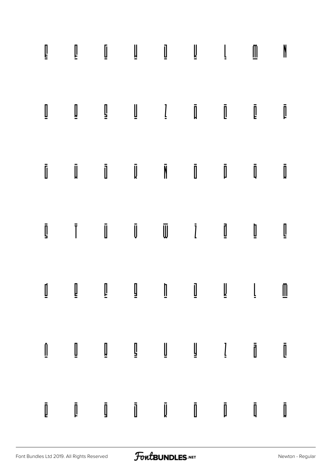|   |  | $\begin{bmatrix} \mathbf{I} & \mathbf{I} & \mathbf{I} & \mathbf{I} & \mathbf{I} & \mathbf{I} & \mathbf{I} & \mathbf{I} & \mathbf{I} & \mathbf{I} & \mathbf{I} & \mathbf{I} & \mathbf{I} & \mathbf{I} & \mathbf{I} & \mathbf{I} & \mathbf{I} & \mathbf{I} & \mathbf{I} & \mathbf{I} & \mathbf{I} & \mathbf{I} & \mathbf{I} & \mathbf{I} & \mathbf{I} & \mathbf{I} & \mathbf{I} & \mathbf{I} & \mathbf{I} & \mathbf{I} & \mathbf{$                                                             |  | $\mathbb{I}$ | $\mathsf{N}$ |
|---|--|----------------------------------------------------------------------------------------------------------------------------------------------------------------------------------------------------------------------------------------------------------------------------------------------------------------------------------------------------------------------------------------------------------------------------------------------------------------------------------------------|--|--------------|--------------|
|   |  |                                                                                                                                                                                                                                                                                                                                                                                                                                                                                              |  |              |              |
| Ī |  | $\begin{array}{ccccccccccccccccc} \bar{\mathbf{I}} & \bar{\mathbf{I}} & \bar{\mathbf{I}} & \bar{\mathbf{I}} & \bar{\mathbf{I}} & \bar{\mathbf{I}} & \bar{\mathbf{I}} & \bar{\mathbf{I}} & \bar{\mathbf{I}} & \bar{\mathbf{I}} & \bar{\mathbf{I}} & \bar{\mathbf{I}} & \bar{\mathbf{I}} & \bar{\mathbf{I}} & \bar{\mathbf{I}} & \bar{\mathbf{I}} & \bar{\mathbf{I}} & \bar{\mathbf{I}} & \bar{\mathbf{I}} & \bar{\mathbf{I}} & \bar{\mathbf{I}} & \bar{\mathbf{I}} & \bar{\mathbf{I}} & \bar$ |  |              |              |
|   |  |                                                                                                                                                                                                                                                                                                                                                                                                                                                                                              |  |              |              |
|   |  |                                                                                                                                                                                                                                                                                                                                                                                                                                                                                              |  |              |              |
|   |  |                                                                                                                                                                                                                                                                                                                                                                                                                                                                                              |  |              |              |
|   |  |                                                                                                                                                                                                                                                                                                                                                                                                                                                                                              |  |              |              |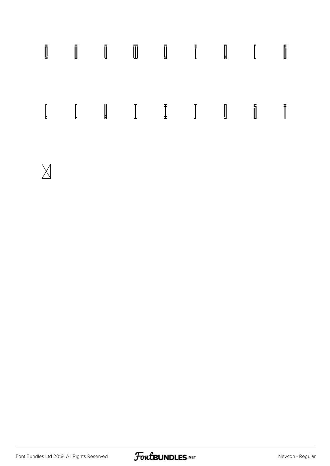# $\boxtimes$

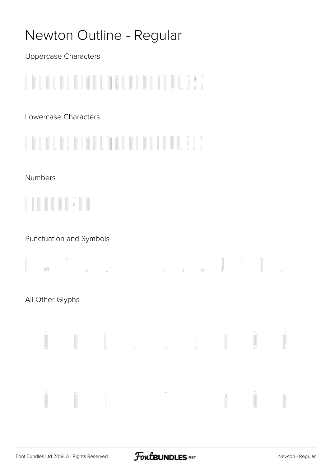#### Newton Outline - Regular

**Uppercase Characters** 

### **Q D D D D D U L D N D D D Q Q D T U V V X Y Z**

Lowercase Characters

#### 

#### **Numbers**



#### **Punctuation and Symbols**

 $\mathbb{Z}^{\mathbb{Z}^{\times}}$  . The set of  $\mathbb{Z}^{\mathbb{Z}^{\times}}$ 

#### All Other Glyphs

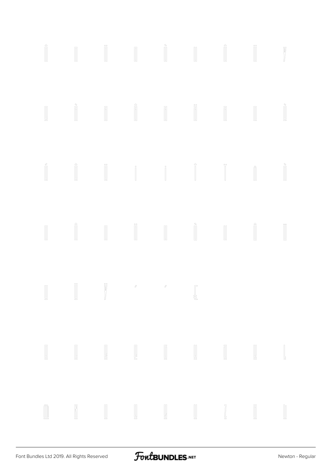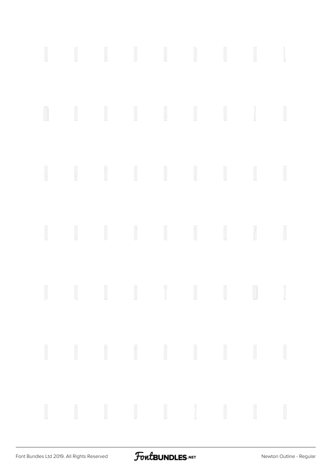